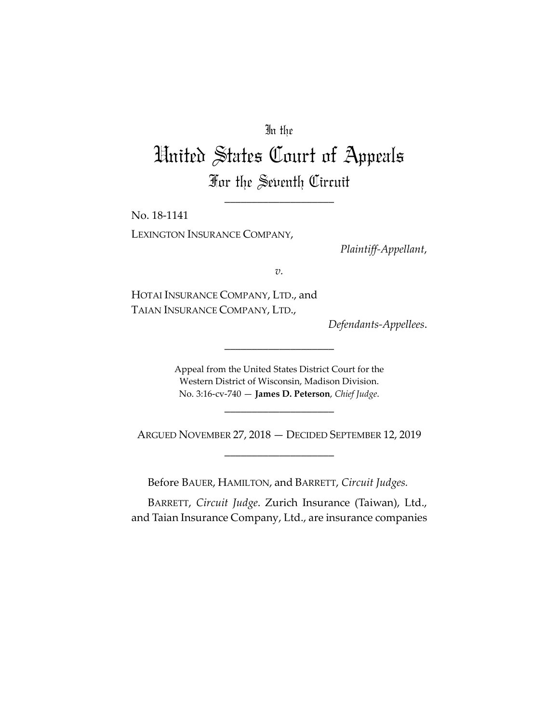## In the

## United States Court of Appeals For the Seventh Circuit

\_\_\_\_\_\_\_\_\_\_\_\_\_\_\_\_\_\_\_\_

No. 18-1141 LEXINGTON INSURANCE COMPANY,

*Plaintiff-Appellant*,

*v.*

HOTAI INSURANCE COMPANY, LTD., and TAIAN INSURANCE COMPANY, LTD.,

*Defendants-Appellees*.

Appeal from the United States District Court for the Western District of Wisconsin, Madison Division. No. 3:16-cv-740 — **James D. Peterson**, *Chief Judge*.

\_\_\_\_\_\_\_\_\_\_\_\_\_\_\_\_\_\_\_\_

ARGUED NOVEMBER 27, 2018 — DECIDED SEPTEMBER 12, 2019 \_\_\_\_\_\_\_\_\_\_\_\_\_\_\_\_\_\_\_\_

\_\_\_\_\_\_\_\_\_\_\_\_\_\_\_\_\_\_\_\_

Before BAUER, HAMILTON, and BARRETT, *Circuit Judges.*

BARRETT, *Circuit Judge*. Zurich Insurance (Taiwan), Ltd., and Taian Insurance Company, Ltd., are insurance companies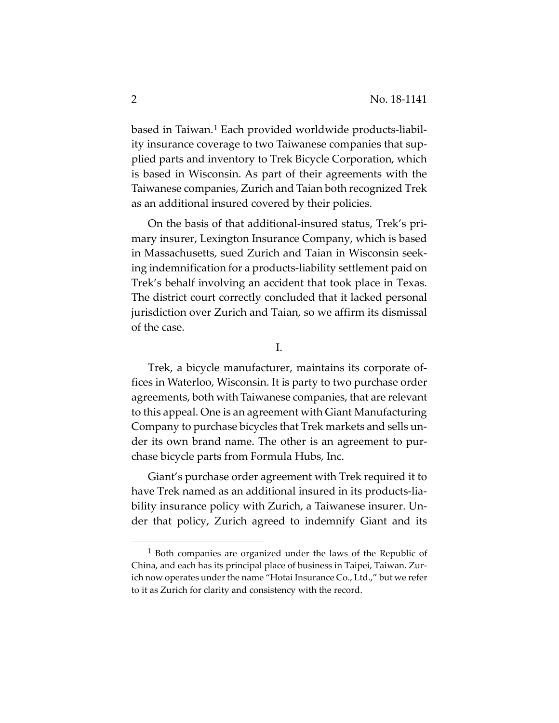based in Taiwan.[1](#page-1-0) Each provided worldwide products-liability insurance coverage to two Taiwanese companies that supplied parts and inventory to Trek Bicycle Corporation, which is based in Wisconsin. As part of their agreements with the Taiwanese companies, Zurich and Taian both recognized Trek as an additional insured covered by their policies.

On the basis of that additional-insured status, Trek's primary insurer, Lexington Insurance Company, which is based in Massachusetts, sued Zurich and Taian in Wisconsin seeking indemnification for a products-liability settlement paid on Trek's behalf involving an accident that took place in Texas. The district court correctly concluded that it lacked personal jurisdiction over Zurich and Taian, so we affirm its dismissal of the case.

I.

Trek, a bicycle manufacturer, maintains its corporate offices in Waterloo, Wisconsin. It is party to two purchase order agreements, both with Taiwanese companies, that are relevant to this appeal. One is an agreement with Giant Manufacturing Company to purchase bicycles that Trek markets and sells under its own brand name. The other is an agreement to purchase bicycle parts from Formula Hubs, Inc.

Giant's purchase order agreement with Trek required it to have Trek named as an additional insured in its products-liability insurance policy with Zurich, a Taiwanese insurer. Under that policy, Zurich agreed to indemnify Giant and its

<span id="page-1-0"></span><sup>1</sup> Both companies are organized under the laws of the Republic of China, and each has its principal place of business in Taipei, Taiwan. Zurich now operates under the name "Hotai Insurance Co., Ltd.," but we refer to it as Zurich for clarity and consistency with the record.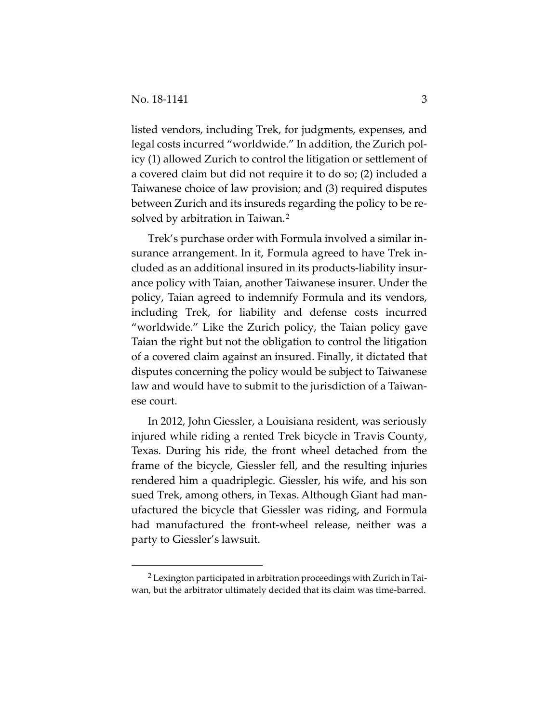listed vendors, including Trek, for judgments, expenses, and legal costs incurred "worldwide." In addition, the Zurich policy (1) allowed Zurich to control the litigation or settlement of a covered claim but did not require it to do so; (2) included a Taiwanese choice of law provision; and (3) required disputes between Zurich and its insureds regarding the policy to be re-solved by arbitration in Taiwan.<sup>[2](#page-2-0)</sup>

Trek's purchase order with Formula involved a similar insurance arrangement. In it, Formula agreed to have Trek included as an additional insured in its products-liability insurance policy with Taian, another Taiwanese insurer. Under the policy, Taian agreed to indemnify Formula and its vendors, including Trek, for liability and defense costs incurred "worldwide." Like the Zurich policy, the Taian policy gave Taian the right but not the obligation to control the litigation of a covered claim against an insured. Finally, it dictated that disputes concerning the policy would be subject to Taiwanese law and would have to submit to the jurisdiction of a Taiwanese court.

In 2012, John Giessler, a Louisiana resident, was seriously injured while riding a rented Trek bicycle in Travis County, Texas. During his ride, the front wheel detached from the frame of the bicycle, Giessler fell, and the resulting injuries rendered him a quadriplegic. Giessler, his wife, and his son sued Trek, among others, in Texas. Although Giant had manufactured the bicycle that Giessler was riding, and Formula had manufactured the front-wheel release, neither was a party to Giessler's lawsuit.

<span id="page-2-0"></span><sup>2</sup> Lexington participated in arbitration proceedings with Zurich in Taiwan, but the arbitrator ultimately decided that its claim was time-barred.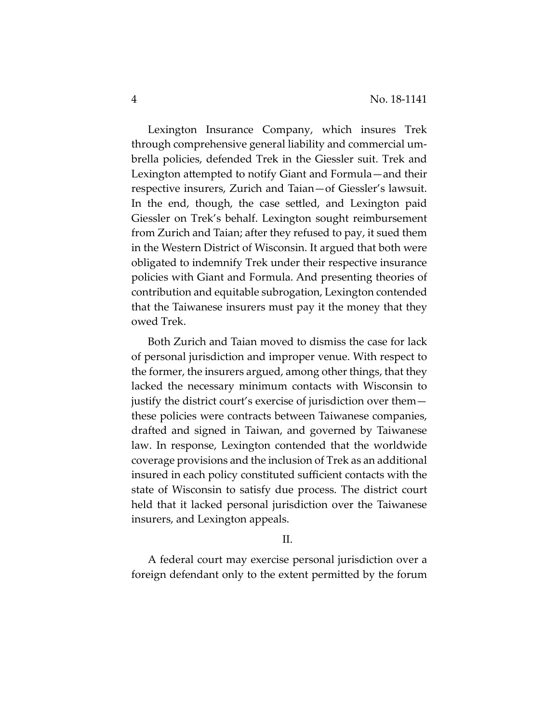Lexington Insurance Company, which insures Trek through comprehensive general liability and commercial umbrella policies, defended Trek in the Giessler suit. Trek and Lexington attempted to notify Giant and Formula—and their respective insurers, Zurich and Taian—of Giessler's lawsuit. In the end, though, the case settled, and Lexington paid Giessler on Trek's behalf. Lexington sought reimbursement from Zurich and Taian; after they refused to pay, it sued them in the Western District of Wisconsin. It argued that both were obligated to indemnify Trek under their respective insurance policies with Giant and Formula. And presenting theories of contribution and equitable subrogation, Lexington contended that the Taiwanese insurers must pay it the money that they owed Trek.

Both Zurich and Taian moved to dismiss the case for lack of personal jurisdiction and improper venue. With respect to the former, the insurers argued, among other things, that they lacked the necessary minimum contacts with Wisconsin to justify the district court's exercise of jurisdiction over them these policies were contracts between Taiwanese companies, drafted and signed in Taiwan, and governed by Taiwanese law. In response, Lexington contended that the worldwide coverage provisions and the inclusion of Trek as an additional insured in each policy constituted sufficient contacts with the state of Wisconsin to satisfy due process. The district court held that it lacked personal jurisdiction over the Taiwanese insurers, and Lexington appeals.

## $II$ .

A federal court may exercise personal jurisdiction over a foreign defendant only to the extent permitted by the forum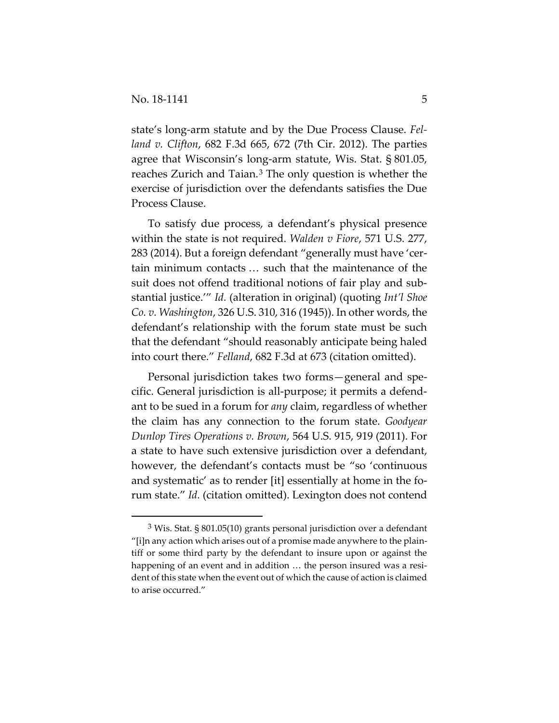state's long-arm statute and by the Due Process Clause. *Felland v. Clifton*, 682 F.3d 665, 672 (7th Cir. 2012). The parties agree that Wisconsin's long-arm statute, Wis. Stat. § 801.05, reaches Zurich and Taian.<sup>[3](#page-4-0)</sup> The only question is whether the exercise of jurisdiction over the defendants satisfies the Due Process Clause.

To satisfy due process, a defendant's physical presence within the state is not required. *Walden v Fiore*, 571 U.S. 277, 283 (2014). But a foreign defendant "generally must have 'certain minimum contacts … such that the maintenance of the suit does not offend traditional notions of fair play and substantial justice.'" *Id.* (alteration in original) (quoting *Int'l Shoe Co. v. Washington*, 326 U.S. 310, 316 (1945)). In other words, the defendant's relationship with the forum state must be such that the defendant "should reasonably anticipate being haled into court there." *Felland*, 682 F.3d at 673 (citation omitted).

Personal jurisdiction takes two forms—general and specific. General jurisdiction is all-purpose; it permits a defendant to be sued in a forum for *any* claim, regardless of whether the claim has any connection to the forum state. *Goodyear Dunlop Tires Operations v. Brown*, 564 U.S. 915, 919 (2011). For a state to have such extensive jurisdiction over a defendant, however, the defendant's contacts must be "so 'continuous and systematic' as to render [it] essentially at home in the forum state." *Id.* (citation omitted). Lexington does not contend

<span id="page-4-0"></span><sup>3</sup> Wis. Stat. § 801.05(10) grants personal jurisdiction over a defendant "[i]n any action which arises out of a promise made anywhere to the plaintiff or some third party by the defendant to insure upon or against the happening of an event and in addition … the person insured was a resident of this state when the event out of which the cause of action is claimed to arise occurred."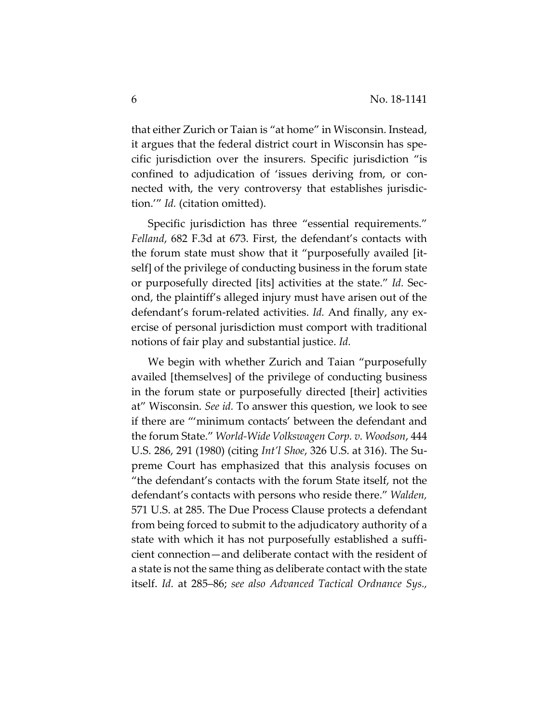that either Zurich or Taian is "at home" in Wisconsin. Instead, it argues that the federal district court in Wisconsin has specific jurisdiction over the insurers. Specific jurisdiction "is confined to adjudication of 'issues deriving from, or connected with, the very controversy that establishes jurisdiction.'" *Id.* (citation omitted).

Specific jurisdiction has three "essential requirements." *Felland*, 682 F.3d at 673. First, the defendant's contacts with the forum state must show that it "purposefully availed [itself] of the privilege of conducting business in the forum state or purposefully directed [its] activities at the state." *Id.* Second, the plaintiff's alleged injury must have arisen out of the defendant's forum-related activities. *Id.* And finally, any exercise of personal jurisdiction must comport with traditional notions of fair play and substantial justice. *Id.* 

We begin with whether Zurich and Taian "purposefully availed [themselves] of the privilege of conducting business in the forum state or purposefully directed [their] activities at" Wisconsin. *See id.* To answer this question, we look to see if there are "'minimum contacts' between the defendant and the forum State." *World-Wide Volkswagen Corp. v. Woodson*, 444 U.S. 286, 291 (1980) (citing *Int'l Shoe*, 326 U.S. at 316). The Supreme Court has emphasized that this analysis focuses on "the defendant's contacts with the forum State itself, not the defendant's contacts with persons who reside there." *Walden,* 571 U.S. at 285. The Due Process Clause protects a defendant from being forced to submit to the adjudicatory authority of a state with which it has not purposefully established a sufficient connection—and deliberate contact with the resident of a state is not the same thing as deliberate contact with the state itself. *Id.* at 285–86; *see also Advanced Tactical Ordnance Sys.,*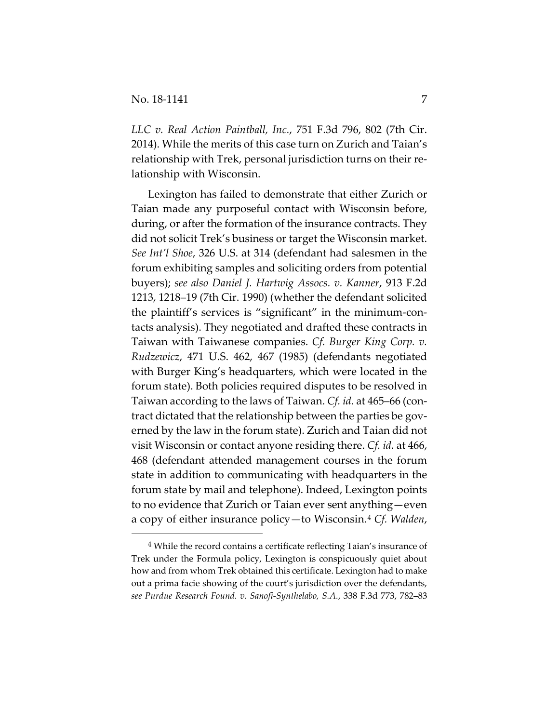*LLC v. Real Action Paintball, Inc.*, 751 F.3d 796, 802 (7th Cir. 2014). While the merits of this case turn on Zurich and Taian's relationship with Trek, personal jurisdiction turns on their relationship with Wisconsin.

Lexington has failed to demonstrate that either Zurich or Taian made any purposeful contact with Wisconsin before, during, or after the formation of the insurance contracts. They did not solicit Trek's business or target the Wisconsin market. *See Int'l Shoe*, 326 U.S. at 314 (defendant had salesmen in the forum exhibiting samples and soliciting orders from potential buyers); *see also Daniel J. Hartwig Assocs. v. Kanner*, 913 F.2d 1213, 1218–19 (7th Cir. 1990) (whether the defendant solicited the plaintiff's services is "significant" in the minimum-contacts analysis). They negotiated and drafted these contracts in Taiwan with Taiwanese companies. *Cf. Burger King Corp. v. Rudzewicz*, 471 U.S. 462, 467 (1985) (defendants negotiated with Burger King's headquarters, which were located in the forum state). Both policies required disputes to be resolved in Taiwan according to the laws of Taiwan. *Cf. id.* at 465–66 (contract dictated that the relationship between the parties be governed by the law in the forum state). Zurich and Taian did not visit Wisconsin or contact anyone residing there. *Cf. id.* at 466, 468 (defendant attended management courses in the forum state in addition to communicating with headquarters in the forum state by mail and telephone). Indeed, Lexington points to no evidence that Zurich or Taian ever sent anything—even a copy of either insurance policy—to Wisconsin.[4](#page-6-0) *Cf. Walden*,

<span id="page-6-0"></span><sup>4</sup> While the record contains a certificate reflecting Taian's insurance of Trek under the Formula policy, Lexington is conspicuously quiet about how and from whom Trek obtained this certificate. Lexington had to make out a prima facie showing of the court's jurisdiction over the defendants, *see Purdue Research Found. v. Sanofi-Synthelabo, S.A.*, 338 F.3d 773, 782–83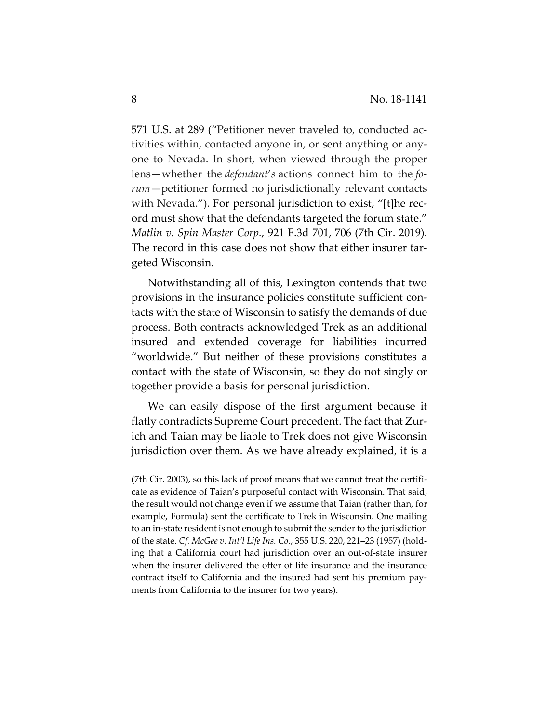571 U.S. at 289 ("Petitioner never traveled to, conducted activities within, contacted anyone in, or sent anything or anyone to Nevada. In short, when viewed through the proper lens—whether the *defendant*'*s* actions connect him to the *forum*—petitioner formed no jurisdictionally relevant contacts with Nevada."). For personal jurisdiction to exist, "[t]he record must show that the defendants targeted the forum state." *Matlin v. Spin Master Corp.*, 921 F.3d 701, 706 (7th Cir. 2019). The record in this case does not show that either insurer targeted Wisconsin.

Notwithstanding all of this, Lexington contends that two provisions in the insurance policies constitute sufficient contacts with the state of Wisconsin to satisfy the demands of due process. Both contracts acknowledged Trek as an additional insured and extended coverage for liabilities incurred "worldwide." But neither of these provisions constitutes a contact with the state of Wisconsin, so they do not singly or together provide a basis for personal jurisdiction.

We can easily dispose of the first argument because it flatly contradicts Supreme Court precedent. The fact that Zurich and Taian may be liable to Trek does not give Wisconsin jurisdiction over them. As we have already explained, it is a

<sup>(7</sup>th Cir. 2003), so this lack of proof means that we cannot treat the certificate as evidence of Taian's purposeful contact with Wisconsin. That said, the result would not change even if we assume that Taian (rather than, for example, Formula) sent the certificate to Trek in Wisconsin. One mailing to an in-state resident is not enough to submit the sender to the jurisdiction of the state. *Cf. McGee v. Int'l Life Ins. Co.*, 355 U.S. 220, 221–23 (1957) (holding that a California court had jurisdiction over an out-of-state insurer when the insurer delivered the offer of life insurance and the insurance contract itself to California and the insured had sent his premium payments from California to the insurer for two years).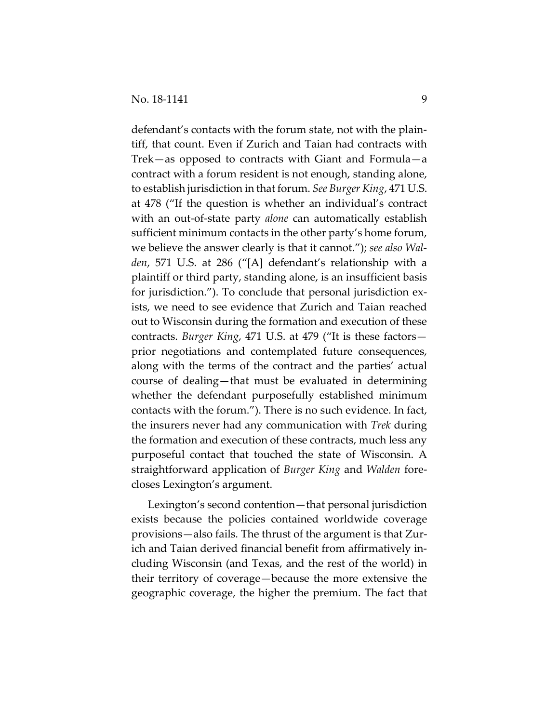defendant's contacts with the forum state, not with the plaintiff, that count. Even if Zurich and Taian had contracts with Trek—as opposed to contracts with Giant and Formula—a contract with a forum resident is not enough, standing alone, to establish jurisdiction in that forum. *See Burger King*, 471 U.S. at 478 ("If the question is whether an individual's contract with an out-of-state party *alone* can automatically establish sufficient minimum contacts in the other party's home forum, we believe the answer clearly is that it cannot."); *see also Walden*, 571 U.S. at 286 ("[A] defendant's relationship with a plaintiff or third party, standing alone, is an insufficient basis for jurisdiction."). To conclude that personal jurisdiction exists, we need to see evidence that Zurich and Taian reached out to Wisconsin during the formation and execution of these contracts. *Burger King*, 471 U.S. at 479 ("It is these factors prior negotiations and contemplated future consequences, along with the terms of the contract and the parties' actual course of dealing—that must be evaluated in determining whether the defendant purposefully established minimum contacts with the forum."). There is no such evidence. In fact, the insurers never had any communication with *Trek* during the formation and execution of these contracts, much less any purposeful contact that touched the state of Wisconsin. A straightforward application of *Burger King* and *Walden* forecloses Lexington's argument.

Lexington's second contention—that personal jurisdiction exists because the policies contained worldwide coverage provisions—also fails. The thrust of the argument is that Zurich and Taian derived financial benefit from affirmatively including Wisconsin (and Texas, and the rest of the world) in their territory of coverage—because the more extensive the geographic coverage, the higher the premium. The fact that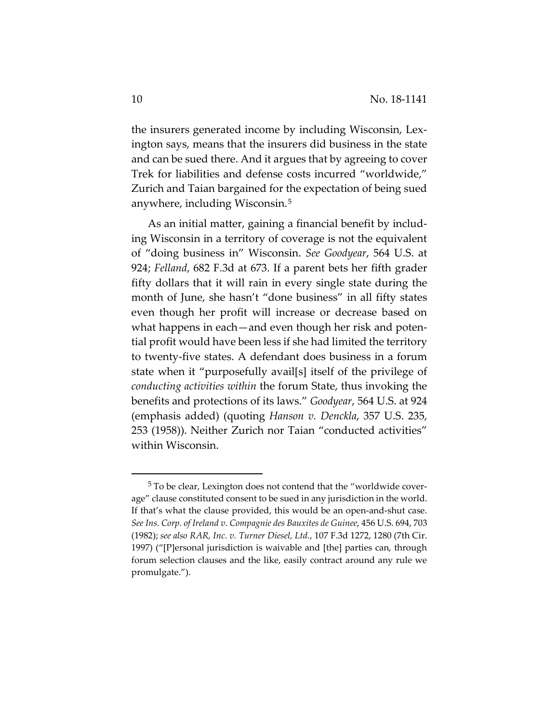the insurers generated income by including Wisconsin, Lexington says, means that the insurers did business in the state and can be sued there. And it argues that by agreeing to cover Trek for liabilities and defense costs incurred "worldwide," Zurich and Taian bargained for the expectation of being sued anywhere, including Wisconsin.[5](#page-9-0)

As an initial matter, gaining a financial benefit by including Wisconsin in a territory of coverage is not the equivalent of "doing business in" Wisconsin. *See Goodyear*, 564 U.S. at 924; *Felland*, 682 F.3d at 673. If a parent bets her fifth grader fifty dollars that it will rain in every single state during the month of June, she hasn't "done business" in all fifty states even though her profit will increase or decrease based on what happens in each—and even though her risk and potential profit would have been less if she had limited the territory to twenty-five states. A defendant does business in a forum state when it "purposefully avail[s] itself of the privilege of *conducting activities within* the forum State, thus invoking the benefits and protections of its laws." *Goodyear*, 564 U.S. at 924 (emphasis added) (quoting *Hanson v. Denckla*, 357 U.S. 235, 253 (1958)). Neither Zurich nor Taian "conducted activities" within Wisconsin.

<span id="page-9-0"></span><sup>5</sup> To be clear, Lexington does not contend that the "worldwide coverage" clause constituted consent to be sued in any jurisdiction in the world. If that's what the clause provided, this would be an open-and-shut case. *See Ins. Corp. of Ireland v. Compagnie des Bauxites de Guinee*, 456 U.S. 694, 703 (1982); *see also RAR, Inc. v. Turner Diesel, Ltd.*, 107 F.3d 1272, 1280 (7th Cir. 1997) ("[P]ersonal jurisdiction is waivable and [the] parties can, through forum selection clauses and the like, easily contract around any rule we promulgate.").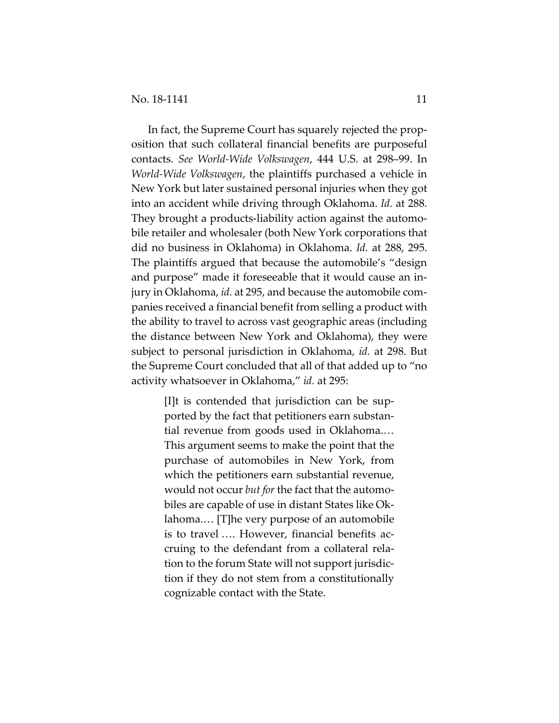In fact, the Supreme Court has squarely rejected the proposition that such collateral financial benefits are purposeful contacts. *See World-Wide Volkswagen*, 444 U.S. at 298–99. In *World-Wide Volkswagen*, the plaintiffs purchased a vehicle in New York but later sustained personal injuries when they got into an accident while driving through Oklahoma. *Id.* at 288. They brought a products-liability action against the automobile retailer and wholesaler (both New York corporations that did no business in Oklahoma) in Oklahoma. *Id.* at 288, 295. The plaintiffs argued that because the automobile's "design and purpose" made it foreseeable that it would cause an injury in Oklahoma, *id.* at 295, and because the automobile companies received a financial benefit from selling a product with the ability to travel to across vast geographic areas (including the distance between New York and Oklahoma), they were subject to personal jurisdiction in Oklahoma, *id.* at 298. But the Supreme Court concluded that all of that added up to "no activity whatsoever in Oklahoma," *id.* at 295:

> [I]t is contended that jurisdiction can be supported by the fact that petitioners earn substantial revenue from goods used in Oklahoma.… This argument seems to make the point that the purchase of automobiles in New York, from which the petitioners earn substantial revenue, would not occur *but for* the fact that the automobiles are capable of use in distant States like Oklahoma.… [T]he very purpose of an automobile is to travel …. However, financial benefits accruing to the defendant from a collateral relation to the forum State will not support jurisdiction if they do not stem from a constitutionally cognizable contact with the State.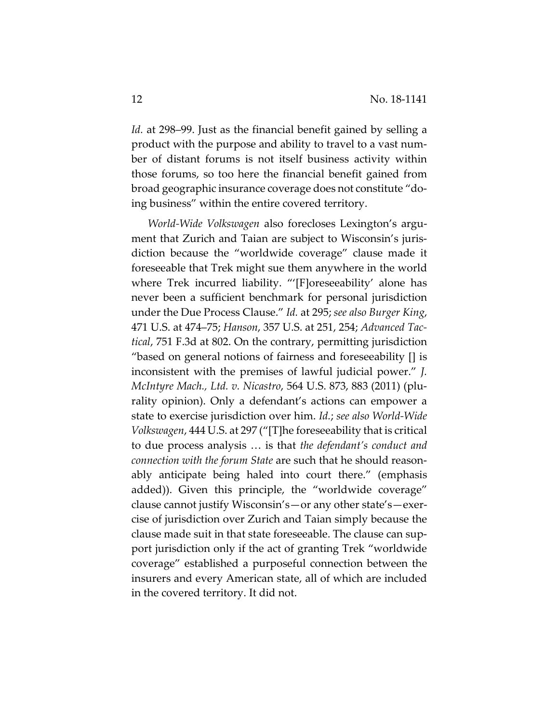*Id.* at 298–99. Just as the financial benefit gained by selling a product with the purpose and ability to travel to a vast number of distant forums is not itself business activity within those forums, so too here the financial benefit gained from broad geographic insurance coverage does not constitute "doing business" within the entire covered territory.

*World-Wide Volkswagen* also forecloses Lexington's argument that Zurich and Taian are subject to Wisconsin's jurisdiction because the "worldwide coverage" clause made it foreseeable that Trek might sue them anywhere in the world where Trek incurred liability. "'[F]oreseeability' alone has never been a sufficient benchmark for personal jurisdiction under the Due Process Clause." *Id.* at 295; *see also Burger King*, 471 U.S. at 474–75; *Hanson*, 357 U.S. at 251, 254; *Advanced Tactical*, 751 F.3d at 802. On the contrary, permitting jurisdiction "based on general notions of fairness and foreseeability [] is inconsistent with the premises of lawful judicial power." *J. McIntyre Mach., Ltd. v. Nicastro*, 564 U.S. 873, 883 (2011) (plurality opinion). Only a defendant's actions can empower a state to exercise jurisdiction over him. *Id.*; *see also World-Wide Volkswagen*, 444 U.S. at 297 ("[T]he foreseeability that is critical to due process analysis … is that *the defendant's conduct and connection with the forum State* are such that he should reasonably anticipate being haled into court there." (emphasis added)). Given this principle, the "worldwide coverage" clause cannot justify Wisconsin's—or any other state's—exercise of jurisdiction over Zurich and Taian simply because the clause made suit in that state foreseeable. The clause can support jurisdiction only if the act of granting Trek "worldwide coverage" established a purposeful connection between the insurers and every American state, all of which are included in the covered territory. It did not.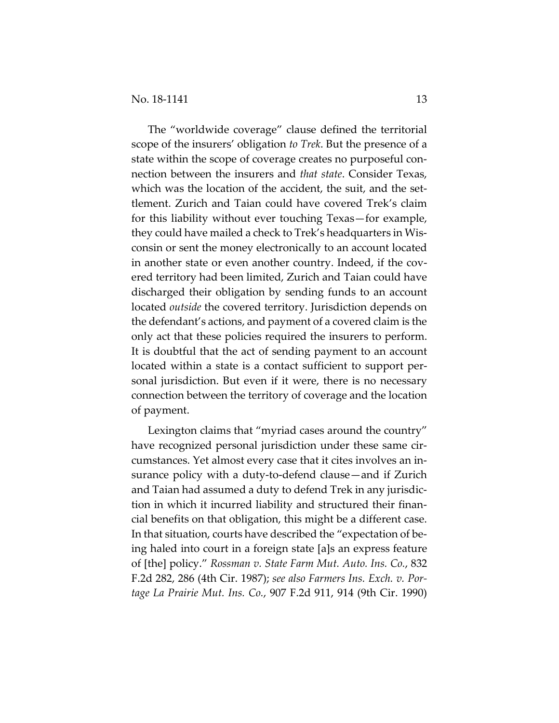The "worldwide coverage" clause defined the territorial scope of the insurers' obligation *to Trek*. But the presence of a state within the scope of coverage creates no purposeful connection between the insurers and *that state*. Consider Texas, which was the location of the accident, the suit, and the settlement. Zurich and Taian could have covered Trek's claim for this liability without ever touching Texas—for example, they could have mailed a check to Trek's headquarters in Wisconsin or sent the money electronically to an account located in another state or even another country. Indeed, if the covered territory had been limited, Zurich and Taian could have discharged their obligation by sending funds to an account located *outside* the covered territory. Jurisdiction depends on the defendant's actions, and payment of a covered claim is the only act that these policies required the insurers to perform. It is doubtful that the act of sending payment to an account located within a state is a contact sufficient to support personal jurisdiction. But even if it were, there is no necessary connection between the territory of coverage and the location of payment.

Lexington claims that "myriad cases around the country" have recognized personal jurisdiction under these same circumstances. Yet almost every case that it cites involves an insurance policy with a duty-to-defend clause—and if Zurich and Taian had assumed a duty to defend Trek in any jurisdiction in which it incurred liability and structured their financial benefits on that obligation, this might be a different case. In that situation, courts have described the "expectation of being haled into court in a foreign state [a]s an express feature of [the] policy." *Rossman v. State Farm Mut. Auto. Ins. Co.*, 832 F.2d 282, 286 (4th Cir. 1987); *see also Farmers Ins. Exch. v. Portage La Prairie Mut. Ins. Co.*, 907 F.2d 911, 914 (9th Cir. 1990)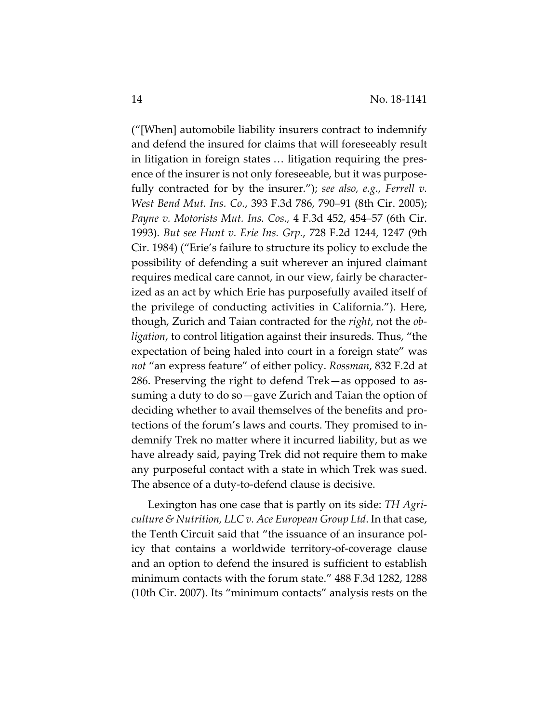("[When] automobile liability insurers contract to indemnify and defend the insured for claims that will foreseeably result in litigation in foreign states … litigation requiring the presence of the insurer is not only foreseeable, but it was purposefully contracted for by the insurer."); *see also, e.g.*, *Ferrell v. West Bend Mut. Ins. Co.*, 393 F.3d 786, 790–91 (8th Cir. 2005); *Payne v. Motorists Mut. Ins. Cos.,* 4 F.3d 452, 454–57 (6th Cir. 1993). *But see Hunt v. Erie Ins. Grp.*, 728 F.2d 1244, 1247 (9th Cir. 1984) ("Erie's failure to structure its policy to exclude the possibility of defending a suit wherever an injured claimant requires medical care cannot, in our view, fairly be characterized as an act by which Erie has purposefully availed itself of the privilege of conducting activities in California."). Here, though, Zurich and Taian contracted for the *right*, not the *obligation*, to control litigation against their insureds. Thus, "the expectation of being haled into court in a foreign state" was *not* "an express feature" of either policy. *Rossman*, 832 F.2d at 286. Preserving the right to defend Trek—as opposed to assuming a duty to do so—gave Zurich and Taian the option of deciding whether to avail themselves of the benefits and protections of the forum's laws and courts. They promised to indemnify Trek no matter where it incurred liability, but as we have already said, paying Trek did not require them to make any purposeful contact with a state in which Trek was sued. The absence of a duty-to-defend clause is decisive.

Lexington has one case that is partly on its side: *TH Agriculture & Nutrition, LLC v. Ace European Group Ltd*. In that case, the Tenth Circuit said that "the issuance of an insurance policy that contains a worldwide territory-of-coverage clause and an option to defend the insured is sufficient to establish minimum contacts with the forum state." 488 F.3d 1282, 1288 (10th Cir. 2007). Its "minimum contacts" analysis rests on the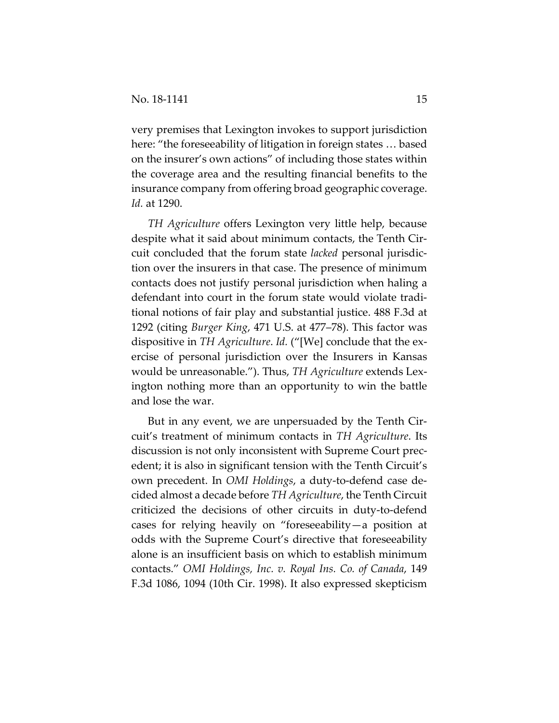very premises that Lexington invokes to support jurisdiction here: "the foreseeability of litigation in foreign states … based on the insurer's own actions" of including those states within the coverage area and the resulting financial benefits to the insurance company from offering broad geographic coverage. *Id.* at 1290.

*TH Agriculture* offers Lexington very little help, because despite what it said about minimum contacts, the Tenth Circuit concluded that the forum state *lacked* personal jurisdiction over the insurers in that case. The presence of minimum contacts does not justify personal jurisdiction when haling a defendant into court in the forum state would violate traditional notions of fair play and substantial justice. 488 F.3d at 1292 (citing *Burger King*, 471 U.S. at 477–78). This factor was dispositive in *TH Agriculture*. *Id.* ("[We] conclude that the exercise of personal jurisdiction over the Insurers in Kansas would be unreasonable."). Thus, *TH Agriculture* extends Lexington nothing more than an opportunity to win the battle and lose the war.

But in any event, we are unpersuaded by the Tenth Circuit's treatment of minimum contacts in *TH Agriculture*. Its discussion is not only inconsistent with Supreme Court precedent; it is also in significant tension with the Tenth Circuit's own precedent. In *OMI Holdings*, a duty-to-defend case decided almost a decade before *TH Agriculture*, the Tenth Circuit criticized the decisions of other circuits in duty-to-defend cases for relying heavily on "foreseeability—a position at odds with the Supreme Court's directive that foreseeability alone is an insufficient basis on which to establish minimum contacts." *OMI Holdings, Inc. v. Royal Ins. Co. of Canada*, 149 F.3d 1086, 1094 (10th Cir. 1998). It also expressed skepticism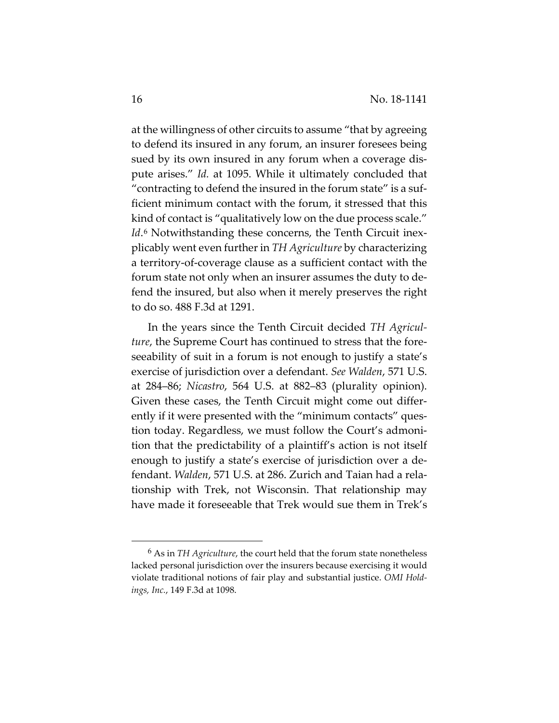at the willingness of other circuits to assume "that by agreeing to defend its insured in any forum, an insurer foresees being sued by its own insured in any forum when a coverage dispute arises." *Id.* at 1095. While it ultimately concluded that "contracting to defend the insured in the forum state" is a sufficient minimum contact with the forum, it stressed that this kind of contact is "qualitatively low on the due process scale." *Id*.<sup>[6](#page-15-0)</sup> Notwithstanding these concerns, the Tenth Circuit inexplicably went even further in *TH Agriculture* by characterizing a territory-of-coverage clause as a sufficient contact with the forum state not only when an insurer assumes the duty to defend the insured, but also when it merely preserves the right to do so. 488 F.3d at 1291.

In the years since the Tenth Circuit decided *TH Agriculture*, the Supreme Court has continued to stress that the foreseeability of suit in a forum is not enough to justify a state's exercise of jurisdiction over a defendant. *See Walden*, 571 U.S. at 284–86; *Nicastro*, 564 U.S. at 882–83 (plurality opinion). Given these cases, the Tenth Circuit might come out differently if it were presented with the "minimum contacts" question today. Regardless, we must follow the Court's admonition that the predictability of a plaintiff's action is not itself enough to justify a state's exercise of jurisdiction over a defendant. *Walden*, 571 U.S. at 286. Zurich and Taian had a relationship with Trek, not Wisconsin. That relationship may have made it foreseeable that Trek would sue them in Trek's

<span id="page-15-0"></span><sup>6</sup> As in *TH Agriculture*, the court held that the forum state nonetheless lacked personal jurisdiction over the insurers because exercising it would violate traditional notions of fair play and substantial justice. *OMI Holdings, Inc.*, 149 F.3d at 1098.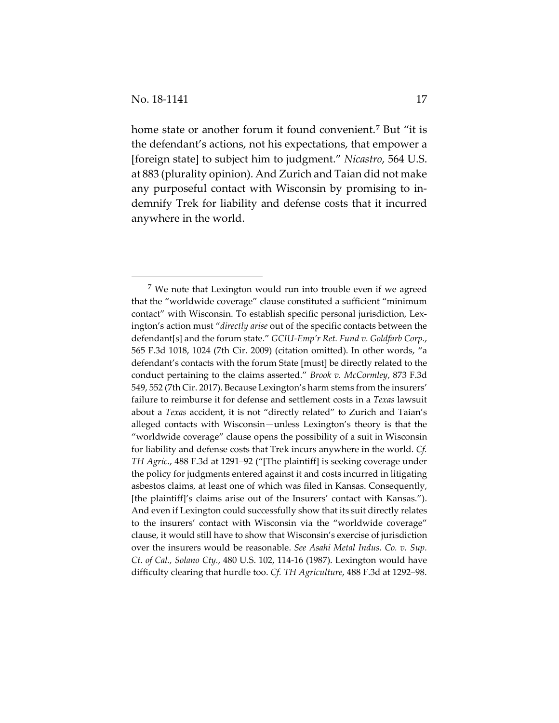home state or another forum it found convenient.[7](#page-16-0) But "it is the defendant's actions, not his expectations, that empower a [foreign state] to subject him to judgment." *Nicastro*, 564 U.S. at 883 (plurality opinion). And Zurich and Taian did not make any purposeful contact with Wisconsin by promising to indemnify Trek for liability and defense costs that it incurred anywhere in the world.

<span id="page-16-0"></span><sup>&</sup>lt;sup>7</sup> We note that Lexington would run into trouble even if we agreed that the "worldwide coverage" clause constituted a sufficient "minimum contact" with Wisconsin. To establish specific personal jurisdiction, Lexington's action must "*directly arise* out of the specific contacts between the defendant[s] and the forum state." *GCIU-Emp'r Ret. Fund v. Goldfarb Corp.*, 565 F.3d 1018, 1024 (7th Cir. 2009) (citation omitted). In other words, "a defendant's contacts with the forum State [must] be directly related to the conduct pertaining to the claims asserted." *Brook v. McCormley*, 873 F.3d 549, 552 (7th Cir. 2017). Because Lexington's harm stems from the insurers' failure to reimburse it for defense and settlement costs in a *Texas* lawsuit about a *Texas* accident, it is not "directly related" to Zurich and Taian's alleged contacts with Wisconsin—unless Lexington's theory is that the "worldwide coverage" clause opens the possibility of a suit in Wisconsin for liability and defense costs that Trek incurs anywhere in the world. *Cf. TH Agric.*, 488 F.3d at 1291–92 ("[The plaintiff] is seeking coverage under the policy for judgments entered against it and costs incurred in litigating asbestos claims, at least one of which was filed in Kansas. Consequently, [the plaintiff]'s claims arise out of the Insurers' contact with Kansas."). And even if Lexington could successfully show that its suit directly relates to the insurers' contact with Wisconsin via the "worldwide coverage" clause, it would still have to show that Wisconsin's exercise of jurisdiction over the insurers would be reasonable. *See Asahi Metal Indus. Co. v. Sup. Ct. of Cal., Solano Cty.*, 480 U.S. 102, 114-16 (1987). Lexington would have difficulty clearing that hurdle too. *Cf. TH Agriculture*, 488 F.3d at 1292–98.